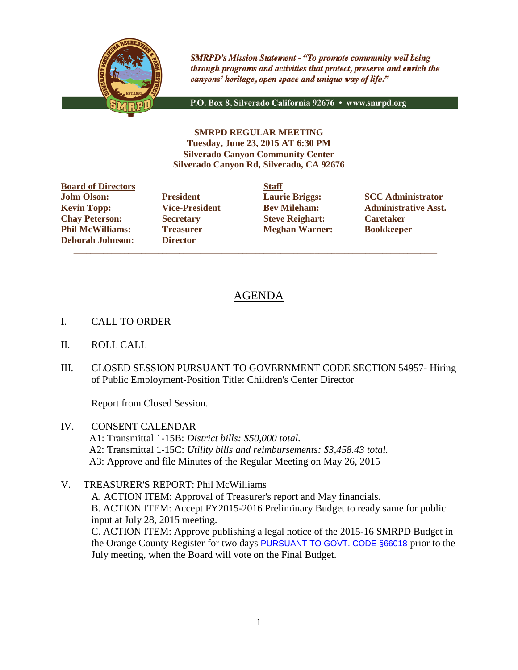

**SMRPD's Mission Statement - "To promote community well being** through programs and activities that protect, preserve and enrich the canyons' heritage, open space and unique way of life."

P.O. Box 8, Silverado California 92676 · www.smrpd.org

**SMRPD REGULAR MEETING Tuesday, June 23, 2015 AT 6:30 PM Silverado Canyon Community Center Silverado Canyon Rd, Silverado, CA 92676**

**Board of Directors Staff John Olson: President Laurie Briggs: SCC Administrator Chay Peterson: Secretary Steve Reighart: Caretaker Phil McWilliams: Treasurer Meghan Warner: Bookkeeper Deborah Johnson: Director**

 $\overline{\phantom{a}}$  ,  $\overline{\phantom{a}}$  ,  $\overline{\phantom{a}}$  ,  $\overline{\phantom{a}}$  ,  $\overline{\phantom{a}}$  ,  $\overline{\phantom{a}}$  ,  $\overline{\phantom{a}}$  ,  $\overline{\phantom{a}}$  ,  $\overline{\phantom{a}}$  ,  $\overline{\phantom{a}}$  ,  $\overline{\phantom{a}}$  ,  $\overline{\phantom{a}}$  ,  $\overline{\phantom{a}}$  ,  $\overline{\phantom{a}}$  ,  $\overline{\phantom{a}}$  ,  $\overline{\phantom{a}}$ 

**Kevin Topp: Vice-President Bev Mileham: Administrative Asst.**

# AGENDA

- I. CALL TO ORDER
- II. ROLL CALL
- III. CLOSED SESSION PURSUANT TO GOVERNMENT CODE SECTION 54957- Hiring of Public Employment-Position Title: Children's Center Director

Report from Closed Session.

- IV. CONSENT CALENDAR A1: Transmittal 1-15B: *District bills: \$50,000 total.* A2: Transmittal 1-15C: *Utility bills and reimbursements: \$3,458.43 total.* A3: Approve and file Minutes of the Regular Meeting on May 26, 2015
- V. TREASURER'S REPORT: Phil McWilliams

A. ACTION ITEM: Approval of Treasurer's report and May financials. B. ACTION ITEM: Accept FY2015-2016 Preliminary Budget to ready same for public input at July 28, 2015 meeting. C. ACTION ITEM: Approve publishing a legal notice of the 2015-16 SMRPD Budget in the Orange County Register for two days PURSUANT TO GOVT. CODE §66018 prior to the July meeting, when the Board will vote on the Final Budget.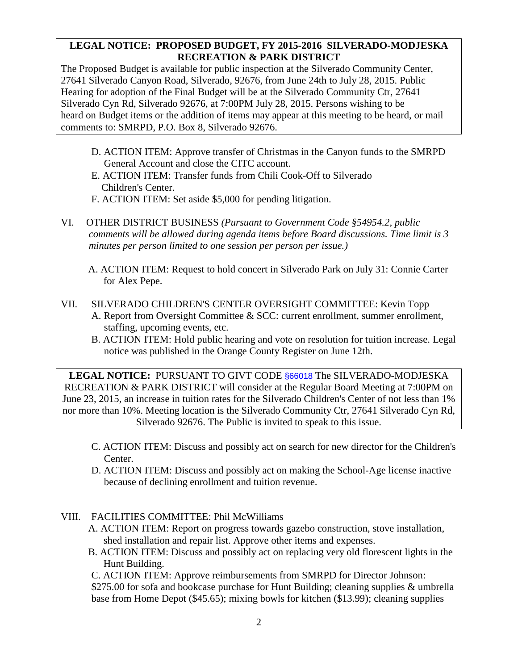# **LEGAL NOTICE: PROPOSED BUDGET, FY 2015-2016 SILVERADO-MODJESKA RECREATION & PARK DISTRICT**

The Proposed Budget is available for public inspection at the Silverado Community Center, 27641 Silverado Canyon Road, Silverado, 92676, from June 24th to July 28, 2015. Public Hearing for adoption of the Final Budget will be at the Silverado Community Ctr, 27641 Silverado Cyn Rd, Silverado 92676, at 7:00PM July 28, 2015. Persons wishing to be heard on Budget items or the addition of items may appear at this meeting to be heard, or mail comments to: SMRPD, P.O. Box 8, Silverado 92676.

- D. ACTION ITEM: Approve transfer of Christmas in the Canyon funds to the SMRPD General Account and close the CITC account.
- E. ACTION ITEM: Transfer funds from Chili Cook-Off to Silverado Children's Center.
- F. ACTION ITEM: Set aside \$5,000 for pending litigation.
- VI. OTHER DISTRICT BUSINESS *(Pursuant to Government Code §54954.2, public comments will be allowed during agenda items before Board discussions. Time limit is 3 minutes per person limited to one session per person per issue.)*
	- A. ACTION ITEM: Request to hold concert in Silverado Park on July 31: Connie Carter for Alex Pepe.
- VII. SILVERADO CHILDREN'S CENTER OVERSIGHT COMMITTEE: Kevin Topp A. Report from Oversight Committee & SCC: current enrollment, summer enrollment, staffing, upcoming events, etc.
	- B. ACTION ITEM: Hold public hearing and vote on resolution for tuition increase. Legal notice was published in the Orange County Register on June 12th.

**LEGAL NOTICE:** PURSUANT TO GIVT CODE §66018 The SILVERADO-MODJESKA RECREATION & PARK DISTRICT will consider at the Regular Board Meeting at 7:00PM on June 23, 2015, an increase in tuition rates for the Silverado Children's Center of not less than 1% nor more than 10%. Meeting location is the Silverado Community Ctr, 27641 Silverado Cyn Rd, Silverado 92676. The Public is invited to speak to this issue.

- C. ACTION ITEM: Discuss and possibly act on search for new director for the Children's Center.
- D. ACTION ITEM: Discuss and possibly act on making the School-Age license inactive because of declining enrollment and tuition revenue.

## VIII. FACILITIES COMMITTEE: Phil McWilliams

- A. ACTION ITEM: Report on progress towards gazebo construction, stove installation, shed installation and repair list. Approve other items and expenses.
- B. ACTION ITEM: Discuss and possibly act on replacing very old florescent lights in the Hunt Building.

C. ACTION ITEM: Approve reimbursements from SMRPD for Director Johnson: \$275.00 for sofa and bookcase purchase for Hunt Building; cleaning supplies & umbrella base from Home Depot (\$45.65); mixing bowls for kitchen (\$13.99); cleaning supplies